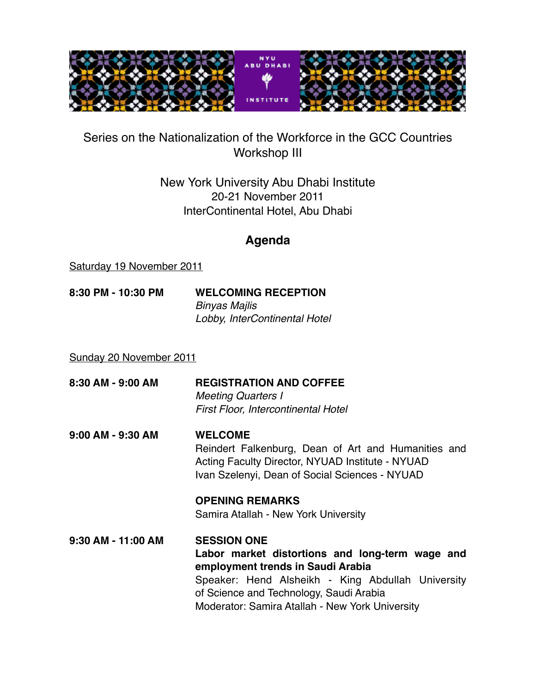

## Series on the Nationalization of the Workforce in the GCC Countries Workshop III

## New York University Abu Dhabi Institute 20-21 November 2011 InterContinental Hotel, Abu Dhabi

## **Agenda**

Saturday 19 November 2011

**8:30 PM - 10:30 PM WELCOMING RECEPTION** *Binyas Majlis Lobby, InterContinental Hotel*

Sunday 20 November 2011

- **8:30 AM 9:00 AM REGISTRATION AND COFFEE** *Meeting Quarters I First Floor, Intercontinental Hotel*
- **9:00 AM 9:30 AM WELCOME** Reindert Falkenburg, Dean of Art and Humanities and 

 Acting Faculty Director, NYUAD Institute - NYUAD Ivan Szelenyi, Dean of Social Sciences - NYUAD

 **OPENING REMARKS**  Samira Atallah - New York University

**9:30 AM - 11:00 AM SESSION ONE Labor market distortions and long-term wage and 
employment trends in Saudi Arabia** Speaker: Hend Alsheikh - King Abdullah University 

 of Science and Technology, Saudi Arabia 

 Moderator: Samira Atallah - New York University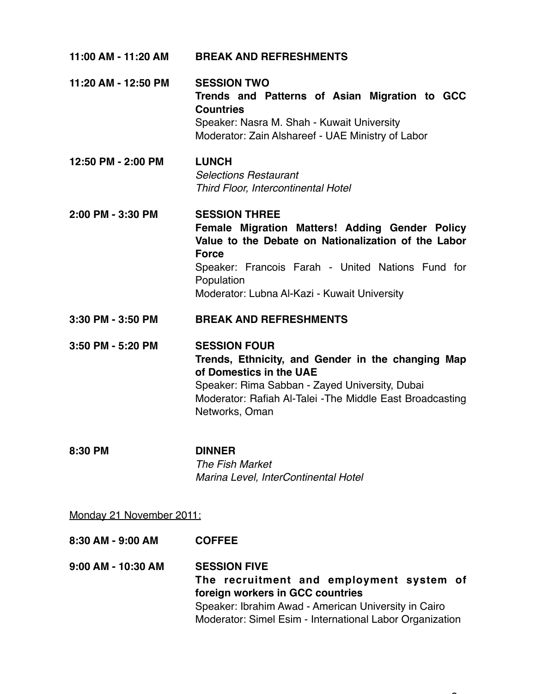| 11:00 AM - 11:20 AM | <b>BREAK AND REFRESHMENTS</b>                                                                                                                                                                                                                                    |
|---------------------|------------------------------------------------------------------------------------------------------------------------------------------------------------------------------------------------------------------------------------------------------------------|
| 11:20 AM - 12:50 PM | <b>SESSION TWO</b><br>Trends and Patterns of Asian Migration to GCC<br><b>Countries</b><br>Speaker: Nasra M. Shah - Kuwait University<br>Moderator: Zain Alshareef - UAE Ministry of Labor                                                                       |
| 12:50 PM - 2:00 PM  | <b>LUNCH</b><br><b>Selections Restaurant</b><br>Third Floor, Intercontinental Hotel                                                                                                                                                                              |
| 2:00 PM - 3:30 PM   | <b>SESSION THREE</b><br>Female Migration Matters! Adding Gender Policy<br>Value to the Debate on Nationalization of the Labor<br><b>Force</b><br>Speaker: Francois Farah - United Nations Fund for<br>Population<br>Moderator: Lubna Al-Kazi - Kuwait University |
| 3:30 PM - 3:50 PM   | <b>BREAK AND REFRESHMENTS</b>                                                                                                                                                                                                                                    |
| 3:50 PM - 5:20 PM   | <b>SESSION FOUR</b><br>Trends, Ethnicity, and Gender in the changing Map<br>of Domestics in the UAE<br>Speaker: Rima Sabban - Zayed University, Dubai<br>Moderator: Rafiah Al-Talei - The Middle East Broadcasting<br>Networks, Oman                             |
| 8:30 PM             | <b>DINNER</b><br><b>The Fish Market</b><br>Marina Level, InterContinental Hotel                                                                                                                                                                                  |

Monday 21 November 2011:

| 8:30 AM - 9:00 AM  | <b>COFFEE</b>                                                                                                                                                                                                           |
|--------------------|-------------------------------------------------------------------------------------------------------------------------------------------------------------------------------------------------------------------------|
| 9:00 AM - 10:30 AM | <b>SESSION FIVE</b><br>The recruitment and employment system of<br>foreign workers in GCC countries<br>Speaker: Ibrahim Awad - American University in Cairo<br>Moderator: Simel Esim - International Labor Organization |